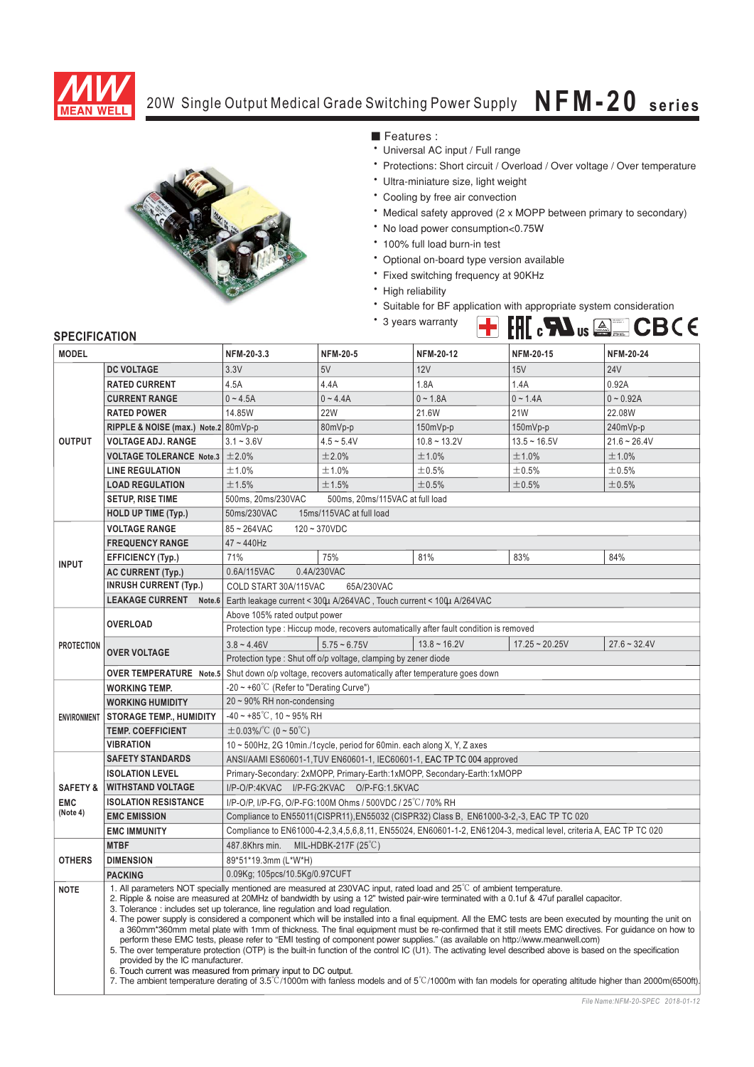

## **NFM-20 series** 20W Single Output Medical Grade Switching Power Supply  $NFM-20$  series



■ Features :

- Universal AC input / Full range
- \* Protections: Short circuit / Overload / Over voltage / Over temperature
- \* Ultra-miniature size, light weight
- \* Cooling by free air convection
- Medical safety approved (2 x MOPP between primary to secondary)
- No load power consumption<0.75W
- 100% full load burn-in test
- Optional on-board type version available
- \* Fixed switching frequency at 90KHz
- \* High reliability
- Suitable for BF application with appropriate system consideration

EN 60601-1<br>RC 60601-

\* 3 years warranty

## **SPECIFICATION**

| <b>MODEL</b>                                  |                                                                                                                                                                                                                                                                                                                                                                                                     | NFM-20-3.3                                                                                                                                        | <b>NFM-20-5</b>                 | <b>NFM-20-12</b> | <b>NFM-20-15</b> | <b>NFM-20-24</b> |
|-----------------------------------------------|-----------------------------------------------------------------------------------------------------------------------------------------------------------------------------------------------------------------------------------------------------------------------------------------------------------------------------------------------------------------------------------------------------|---------------------------------------------------------------------------------------------------------------------------------------------------|---------------------------------|------------------|------------------|------------------|
|                                               | <b>DC VOLTAGE</b>                                                                                                                                                                                                                                                                                                                                                                                   | 3.3V                                                                                                                                              | 5V                              | 12V              | 15V              | <b>24V</b>       |
| <b>OUTPUT</b>                                 | <b>RATED CURRENT</b>                                                                                                                                                                                                                                                                                                                                                                                | 4.5A                                                                                                                                              | 4.4A                            | 1.8A             | 1.4A             | 0.92A            |
|                                               | <b>CURRENT RANGE</b>                                                                                                                                                                                                                                                                                                                                                                                | $0 - 4.5A$                                                                                                                                        | $0 - 4.4A$                      | $0 - 1.8A$       | $0 - 1.4A$       | $0 - 0.92A$      |
|                                               | <b>RATED POWER</b>                                                                                                                                                                                                                                                                                                                                                                                  | 14.85W                                                                                                                                            | <b>22W</b>                      | 21.6W            | <b>21W</b>       | 22.08W           |
|                                               | RIPPLE & NOISE (max.) Note.2 80mVp-p                                                                                                                                                                                                                                                                                                                                                                |                                                                                                                                                   | 80mVp-p                         | 150mVp-p         | $150mVp-p$       | 240mVp-p         |
|                                               | <b>VOLTAGE ADJ. RANGE</b>                                                                                                                                                                                                                                                                                                                                                                           | $3.1 - 3.6V$                                                                                                                                      | $4.5 - 5.4V$                    | $10.8 - 13.2V$   | $13.5 - 16.5V$   | $21.6 - 26.4V$   |
|                                               | <b>VOLTAGE TOLERANCE Note.3</b>                                                                                                                                                                                                                                                                                                                                                                     | ±2.0%                                                                                                                                             | ±2.0%                           | ±1.0%            | ±1.0%            | ±1.0%            |
|                                               | <b>LINE REGULATION</b>                                                                                                                                                                                                                                                                                                                                                                              | ±1.0%                                                                                                                                             | ±1.0%                           | ±0.5%            | ±0.5%            | ±0.5%            |
|                                               | <b>LOAD REGULATION</b>                                                                                                                                                                                                                                                                                                                                                                              | ±1.5%                                                                                                                                             | ±1.5%                           | ±0.5%            | ±0.5%            | ±0.5%            |
|                                               | <b>SETUP, RISE TIME</b>                                                                                                                                                                                                                                                                                                                                                                             | 500ms, 20ms/230VAC                                                                                                                                | 500ms, 20ms/115VAC at full load |                  |                  |                  |
|                                               | <b>HOLD UP TIME (Typ.)</b>                                                                                                                                                                                                                                                                                                                                                                          | 50ms/230VAC<br>15ms/115VAC at full load                                                                                                           |                                 |                  |                  |                  |
|                                               | $120 \sim 370$ VDC<br><b>VOLTAGE RANGE</b><br>$85 - 264$ VAC                                                                                                                                                                                                                                                                                                                                        |                                                                                                                                                   |                                 |                  |                  |                  |
| <b>INPUT</b>                                  | <b>FREQUENCY RANGE</b>                                                                                                                                                                                                                                                                                                                                                                              | $47 - 440$ Hz                                                                                                                                     |                                 |                  |                  |                  |
|                                               |                                                                                                                                                                                                                                                                                                                                                                                                     | 71%                                                                                                                                               |                                 | 81%              | 83%              | 84%              |
|                                               | <b>EFFICIENCY (Typ.)</b>                                                                                                                                                                                                                                                                                                                                                                            | 0.6A/115VAC                                                                                                                                       | 75%                             |                  |                  |                  |
|                                               | <b>AC CURRENT (Typ.)</b><br><b>INRUSH CURRENT (Typ.)</b>                                                                                                                                                                                                                                                                                                                                            | 0.4A/230VAC<br>COLD START 30A/115VAC<br>65A/230VAC                                                                                                |                                 |                  |                  |                  |
|                                               | <b>LEAKAGE CURRENT</b><br>Note.6                                                                                                                                                                                                                                                                                                                                                                    |                                                                                                                                                   |                                 |                  |                  |                  |
|                                               |                                                                                                                                                                                                                                                                                                                                                                                                     | Earth leakage current < 3004 A/264VAC, Touch current < 1004 A/264VAC                                                                              |                                 |                  |                  |                  |
| <b>PROTECTION</b>                             | <b>OVERLOAD</b>                                                                                                                                                                                                                                                                                                                                                                                     | Above 105% rated output power<br>Protection type : Hiccup mode, recovers automatically after fault condition is removed                           |                                 |                  |                  |                  |
|                                               |                                                                                                                                                                                                                                                                                                                                                                                                     |                                                                                                                                                   |                                 |                  |                  |                  |
|                                               | <b>OVER VOLTAGE</b>                                                                                                                                                                                                                                                                                                                                                                                 | $3.8 - 4.46V$                                                                                                                                     | $5.75 - 6.75V$                  | $13.8 - 16.2V$   | $17.25 - 20.25V$ | $27.6 - 32.4V$   |
|                                               |                                                                                                                                                                                                                                                                                                                                                                                                     | Protection type: Shut off o/p voltage, clamping by zener diode                                                                                    |                                 |                  |                  |                  |
|                                               | <b>OVER TEMPERATURE</b> Note.5 Shut down o/p voltage, recovers automatically after temperature goes down                                                                                                                                                                                                                                                                                            |                                                                                                                                                   |                                 |                  |                  |                  |
| <b>ENVIRONMENT</b>                            | <b>WORKING TEMP.</b>                                                                                                                                                                                                                                                                                                                                                                                | $-20 \sim +60^{\circ}$ (Refer to "Derating Curve")                                                                                                |                                 |                  |                  |                  |
|                                               | <b>WORKING HUMIDITY</b>                                                                                                                                                                                                                                                                                                                                                                             | $20 \sim 90\%$ RH non-condensing                                                                                                                  |                                 |                  |                  |                  |
|                                               | <b>STORAGE TEMP., HUMIDITY</b>                                                                                                                                                                                                                                                                                                                                                                      | $-40 \sim +85^{\circ}$ C, 10 ~ 95% RH                                                                                                             |                                 |                  |                  |                  |
|                                               | <b>TEMP. COEFFICIENT</b><br><b>VIBRATION</b>                                                                                                                                                                                                                                                                                                                                                        | $\pm$ 0.03%/°C (0 ~ 50°C)                                                                                                                         |                                 |                  |                  |                  |
|                                               | <b>SAFETY STANDARDS</b>                                                                                                                                                                                                                                                                                                                                                                             | 10 ~ 500Hz, 2G 10min./1cycle, period for 60min. each along X, Y, Z axes<br>ANSI/AAMI ES60601-1, TUV EN60601-1, IEC60601-1, EAC TP TC 004 approved |                                 |                  |                  |                  |
|                                               |                                                                                                                                                                                                                                                                                                                                                                                                     |                                                                                                                                                   |                                 |                  |                  |                  |
| <b>SAFETY &amp;</b><br><b>EMC</b><br>(Note 4) | <b>ISOLATION LEVEL</b><br><b>WITHSTAND VOLTAGE</b>                                                                                                                                                                                                                                                                                                                                                  | Primary-Secondary: 2xMOPP, Primary-Earth:1xMOPP, Secondary-Earth:1xMOPP<br>I/P-O/P:4KVAC I/P-FG:2KVAC O/P-FG:1.5KVAC                              |                                 |                  |                  |                  |
|                                               | <b>ISOLATION RESISTANCE</b>                                                                                                                                                                                                                                                                                                                                                                         | I/P-O/P, I/P-FG, O/P-FG:100M Ohms / 500VDC / 25°C/70% RH                                                                                          |                                 |                  |                  |                  |
|                                               | <b>EMC EMISSION</b>                                                                                                                                                                                                                                                                                                                                                                                 | Compliance to EN55011(CISPR11), EN55032 (CISPR32) Class B, EN61000-3-2,-3, EAC TP TC 020                                                          |                                 |                  |                  |                  |
|                                               | <b>EMC IMMUNITY</b>                                                                                                                                                                                                                                                                                                                                                                                 | Compliance to EN61000-4-2,3,4,5,6,8,11, EN55024, EN60601-1-2, EN61204-3, medical level, criteria A, EAC TP TC 020                                 |                                 |                  |                  |                  |
|                                               | <b>MTBF</b>                                                                                                                                                                                                                                                                                                                                                                                         | 487.8Khrs min.<br>MIL-HDBK-217F $(25^{\circ}C)$                                                                                                   |                                 |                  |                  |                  |
| <b>OTHERS</b>                                 | <b>DIMENSION</b>                                                                                                                                                                                                                                                                                                                                                                                    | 89*51*19.3mm (L*W*H)                                                                                                                              |                                 |                  |                  |                  |
|                                               | <b>PACKING</b>                                                                                                                                                                                                                                                                                                                                                                                      | 0.09Kg; 105pcs/10.5Kg/0.97CUFT                                                                                                                    |                                 |                  |                  |                  |
| <b>NOTE</b>                                   |                                                                                                                                                                                                                                                                                                                                                                                                     |                                                                                                                                                   |                                 |                  |                  |                  |
|                                               | 1. All parameters NOT specially mentioned are measured at 230VAC input, rated load and 25°C of ambient temperature.<br>2. Ripple & noise are measured at 20MHz of bandwidth by using a 12" twisted pair-wire terminated with a 0.1uf & 47uf parallel capacitor.                                                                                                                                     |                                                                                                                                                   |                                 |                  |                  |                  |
|                                               |                                                                                                                                                                                                                                                                                                                                                                                                     | 3. Tolerance: includes set up tolerance, line regulation and load regulation.                                                                     |                                 |                  |                  |                  |
|                                               | 4. The power supply is considered a component which will be installed into a final equipment. All the EMC tests are been executed by mounting the unit on<br>a 360mm*360mm metal plate with 1mm of thickness. The final equipment must be re-confirmed that it still meets EMC directives. For guidance on how to                                                                                   |                                                                                                                                                   |                                 |                  |                  |                  |
|                                               | perform these EMC tests, please refer to "EMI testing of component power supplies." (as available on http://www.meanwell.com)<br>5. The over temperature protection (OTP) is the built-in function of the control IC (U1). The activating level described above is based on the specification<br>provided by the IC manufacturer.<br>6. Touch current was measured from primary input to DC output. |                                                                                                                                                   |                                 |                  |                  |                  |
|                                               |                                                                                                                                                                                                                                                                                                                                                                                                     |                                                                                                                                                   |                                 |                  |                  |                  |
|                                               |                                                                                                                                                                                                                                                                                                                                                                                                     |                                                                                                                                                   |                                 |                  |                  |                  |
|                                               | 7. The ambient temperature derating of 3.5°C/1000m with fanless models and of 5°C/1000m with fan models for operating altitude higher than 2000m(6500ft).                                                                                                                                                                                                                                           |                                                                                                                                                   |                                 |                  |                  |                  |